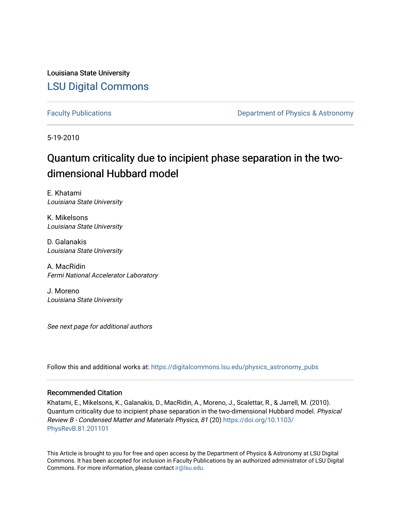Louisiana State University [LSU Digital Commons](https://digitalcommons.lsu.edu/)

[Faculty Publications](https://digitalcommons.lsu.edu/physics_astronomy_pubs) **Exercise 2 and Table 2 and Table 2 and Table 2 and Table 2 and Table 2 and Table 2 and Table 2 and Table 2 and Table 2 and Table 2 and Table 2 and Table 2 and Table 2 and Table 2 and Table 2 and Table** 

5-19-2010

## Quantum criticality due to incipient phase separation in the twodimensional Hubbard model

E. Khatami Louisiana State University

K. Mikelsons Louisiana State University

D. Galanakis Louisiana State University

A. MacRidin Fermi National Accelerator Laboratory

J. Moreno Louisiana State University

See next page for additional authors

Follow this and additional works at: [https://digitalcommons.lsu.edu/physics\\_astronomy\\_pubs](https://digitalcommons.lsu.edu/physics_astronomy_pubs?utm_source=digitalcommons.lsu.edu%2Fphysics_astronomy_pubs%2F3617&utm_medium=PDF&utm_campaign=PDFCoverPages) 

#### Recommended Citation

Khatami, E., Mikelsons, K., Galanakis, D., MacRidin, A., Moreno, J., Scalettar, R., & Jarrell, M. (2010). Quantum criticality due to incipient phase separation in the two-dimensional Hubbard model. Physical Review B - Condensed Matter and Materials Physics, 81 (20) [https://doi.org/10.1103/](https://doi.org/10.1103/PhysRevB.81.201101) [PhysRevB.81.201101](https://doi.org/10.1103/PhysRevB.81.201101)

This Article is brought to you for free and open access by the Department of Physics & Astronomy at LSU Digital Commons. It has been accepted for inclusion in Faculty Publications by an authorized administrator of LSU Digital Commons. For more information, please contact [ir@lsu.edu](mailto:ir@lsu.edu).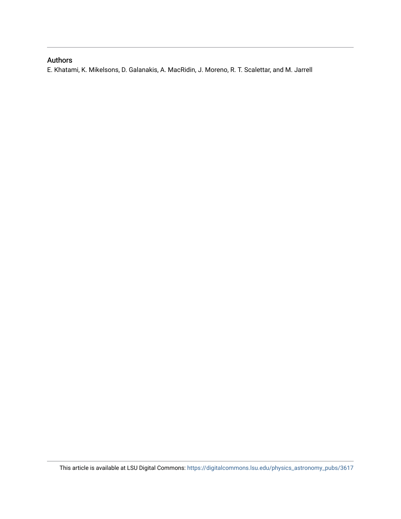### Authors

E. Khatami, K. Mikelsons, D. Galanakis, A. MacRidin, J. Moreno, R. T. Scalettar, and M. Jarrell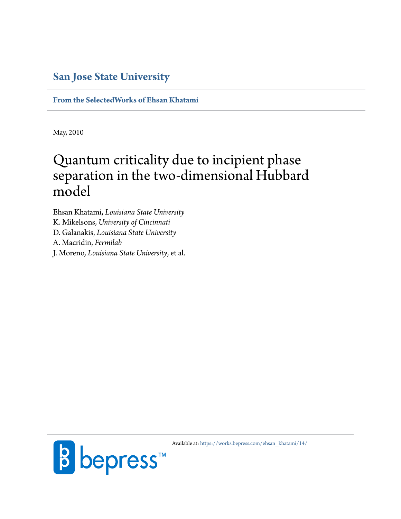### **[San Jose State University](http://www.sjsu.edu)**

**[From the SelectedWorks of Ehsan Khatami](https://works.bepress.com/ehsan_khatami/)**

May, 2010

# Quantum criticality due to incipient phase separation in the two-dimensional Hubbard model

Ehsan Khatami, *Louisiana State University* K. Mikelsons, *University of Cincinnati* D. Galanakis, *Louisiana State University* A. Macridin, *Fermilab* J. Moreno, *Louisiana State University*, et al.



Available at: [https://works.bepress.com/ehsan\\_khatami/14/](https://works.bepress.com/ehsan_khatami/14/)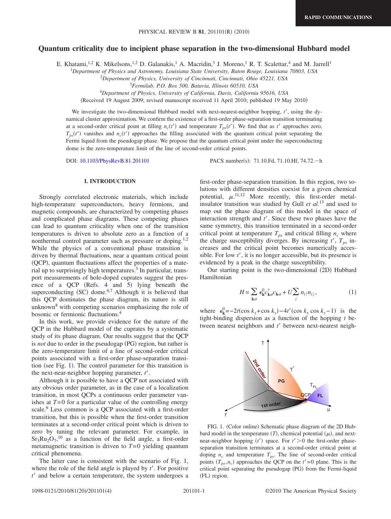#### **Quantum criticality due to incipient phase separation in the two-dimensional Hubbard model**

E. Khatami,<sup>1,2</sup> K. Mikelsons,<sup>1,2</sup> D. Galanakis,<sup>1</sup> A. Macridin,<sup>3</sup> J. Moreno,<sup>1</sup> R. T. Scalettar,<sup>4</sup> and M. Jarrell<sup>1</sup>

1 *Department of Physics and Astronomy, Louisiana State University, Baton Rouge, Louisiana 70803, USA*

2 *Department of Physics, University of Cincinnati, Cincinnati, Ohio 45221, USA*

<sup>3</sup>*Fermilab, P.O. Box 500, Batavia, Illinois 60510, USA*

<sup>4</sup>*Department of Physics, University of California, Davis, California 95616, USA*

(Received 19 August 2009; revised manuscript received 11 April 2010; published 19 May 2010)

We investigate the two-dimensional Hubbard model with next-nearest-neighbor hopping, *t*', using the dynamical cluster approximation. We confirm the existence of a first-order phase-separation transition terminating at a second-order critical point at filling  $n_c(t')$  and temperature  $T_{ps}(t')$ . We find that as  $t'$  approaches zero,  $T_{ps}(t')$  vanishes and  $n_c(t')$  approaches the filling associated with the quantum critical point separating the Fermi liquid from the pseudogap phase. We propose that the quantum critical point under the superconducting dome is the zero-temperature limit of the line of second-order critical points.

DOI: [10.1103/PhysRevB.81.201101](http://dx.doi.org/10.1103/PhysRevB.81.201101) PACS number(s): 71.10.Fd, 71.10.Hf, 74.72.-h

#### **I. INTRODUCTION**

Strongly correlated electronic materials, which include high-temperature superconductors, heavy fermions, and magnetic compounds, are characterized by competing phases and complicated phase diagrams. These competing phases can lead to quantum criticality when one of the transition temperatures is driven to absolute zero as a function of a nonthermal control parameter such as pressure or doping.<sup>[1](#page-6-0)[,2](#page-6-1)</sup> While the physics of a conventional phase transition is driven by thermal fluctuations, near a quantum critical point (QCP), quantum fluctuations affect the properties of a mate-rial up to surprisingly high temperatures.<sup>[3](#page-6-2)</sup> In particular, transport measurements of hole-doped cuprates suggest the presence of a QCP (Refs. [4](#page-6-3) and [5](#page-6-4)) lying beneath the superconducting  $(SC)$  dome.<sup>[6,](#page-6-5)[7](#page-6-6)</sup> Although it is believed that this QCP dominates the phase diagram, its nature is still unknown $8$  with competing scenarios emphasizing the role of bosonic or fermionic fluctuations.[4](#page-6-3)

In this work, we provide evidence for the nature of the QCP in the Hubbard model of the cuprates by a systematic study of its phase diagram. Our results suggest that the QCP is *not* due to order in the pseudogap (PG) region, but rather is the zero-temperature limit of a line of second-order critical points associated with a first-order phase-separation transition (see Fig. [1](#page-3-0)). The control parameter for this transition is the next-near-neighbor hopping parameter, *t*'.

Although it is possible to have a QCP not associated with any obvious order parameter, as in the case of a localization transition, in most QCPs a continuous order parameter vanishes at  $T=0$  for a particular value of the controlling energy scale.<sup>9</sup> Less common is a QCP associated with a first-order transition, but this is possible when the first-order transition terminates at a second-order critical point which is driven to zero by tuning the relevant parameter. For example, in  $Sr_3Ru_2O_7$ ,<sup>[10](#page-6-9)</sup> as a function of the field angle, a first-order metamagnetic transition is driven to  $T=0$  yielding quantum critical phenomena.

The latter case is consistent with the scenario of Fig. [1,](#page-3-0) where the role of the field angle is played by *t*'. For positive *t*' and below a certain temperature, the system undergoes a first-order phase-separation transition. In this region, two solutions with different densities coexist for a given chemical potential,  $\mu$ .<sup>[11](#page-6-10)[,12](#page-6-11)</sup> More recently, this first-order metalinsulator transition was studied by Gull *et al.*[13](#page-6-12) and used to map out the phase diagram of this model in the space of interaction strength and *t*'. Since these two phases have the same symmetry, this transition terminated in a second-order critical point at temperature  $T_{ps}$  and critical filling  $n_c$  where the charge susceptibility diverges. By increasing  $t'$ ,  $T_{ps}$  increases and the critical point becomes numerically accessible. For low *t*', it is no longer accessible, but its presence is evidenced by a peak in the charge susceptibility.

Our starting point is the two-dimensional (2D) Hubbard Hamiltonian

$$
H = \sum_{\mathbf{k}\sigma} \epsilon_{\mathbf{k}}^0 c_{\mathbf{k}\sigma}^\dagger c_{\mathbf{k}\sigma} + U \sum_i n_{i\uparrow} n_{i\downarrow}, \tag{1}
$$

<span id="page-3-0"></span>where  $\epsilon_{\mathbf{k}}^0 = -2t(\cos k_x + \cos k_y) - 4t'(\cos k_x \cos k_y - 1)$  is the tight-binding dispersion as a function of the hopping *t* between nearest neighbors and *t*' between next-nearest neigh-

FIG. 1. (Color online) Schematic phase diagram of the 2D Hubbard model in the temperature  $(T)$ , chemical potential  $(\mu)$ , and nextnear-neighbor hopping (*t*') space. For *t*'>0 the first-order phaseseparation transition terminates at a second-order critical point at doping  $n_c$  and temperature  $T_{ps}$ . The line of second-order critical points  $(T_{ps}, n_c)$  approaches the QCP on the  $t' = 0$  plane. This is the critical point separating the pseudogap (PG) from the Fermi-liquid (FL) region.

**1st order**

**2 PRO** 

t'

T

**QCP** 

 $T_{\text{FL}}$ 

**FL**

T\*

**PG**

ū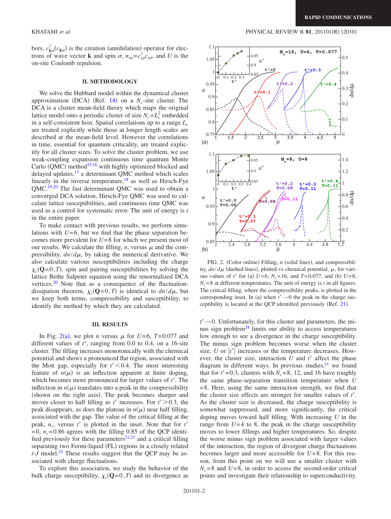bors,  $c^{\dagger}_{\mathbf{k}\sigma}(c_{\mathbf{k}\sigma})$  is the creation (annihilation) operator for elec-<sup>1.1</sup> trons of wave vector **k** and spin  $\sigma$ ,  $n_{i\sigma} = c_{i\sigma}^{\dagger}c_{i\sigma}$ , and *U* is the on-site Coulomb repulsion.

#### **II. METHODOLOGY**

We solve the Hubbard model within the dynamical cluster approximation (DCA) (Ref. [14](#page-6-13)) on a  $N_c$ -site cluster. The DCA is a cluster mean-field theory which maps the original lattice model onto a periodic cluster of size  $N_c = L_c^2$  embedded in a self-consistent host. Spatial correlations up to a range  $L_c$ are treated explicitly while those at longer length scales are described at the mean-field level. However the correlations in time, essential for quantum criticality, are treated explicitly for all cluster sizes. To solve the cluster problem, we use weak-coupling expansion continuous time quantum Monte Carlo (QMC) method<sup>15[,16](#page-6-15)</sup> with highly optimized blocked and delayed updates,<sup>17</sup> a determinant QMC method which scales linearly in the inverse temperature, $18$  as well as Hirsch-Fye QMC[.19](#page-6-18)[,20](#page-6-19) The fast determinant QMC was used to obtain a converged DCA solution, Hirsch-Fye QMC was used to calculate lattice susceptibilities, and continuous time QMC was used as a control for systematic error. The unit of energy is *t* in the entire paper.

To make contact with previous results, we perform simulations with  $U=6$ , but we find that the phase separation becomes more prevalent for *U*= 8 for which we present most of our results. We calculate the filling,  $n$ , versus  $\mu$  and the compressibility,  $dn/d\mu$ , by taking the numerical derivative. We also calculate various susceptibilities including the charge  $\chi_c(Q=0,T)$ , spin and pairing susceptibilities by solving the lattice Bethe Salpeter equation using the renormalized DCA vertices[.20](#page-6-19) Note that as a consequence of the fluctuationdissipation theorem,  $\chi_c(\mathbf{Q}=0,T)$  is identical to  $dn/d\mu$ , but we keep both terms, compressibility and susceptibility, to identify the method by which they are calculated.

#### **III. RESULTS**

In Fig. [2](#page-4-0)(a), we plot *n* versus  $\mu$  for *U*=6, *T*=0.077 and different values of *t*', ranging from 0.0 to 0.4, on a 16-site cluster. The filling increases monotonically with the chemical potential and shows a pronounced flat region, associated with the Mott gap, especially for  $t' < 0.4$ . The most interesting feature of  $n(\mu)$  is an inflection apparent at finite doping, which becomes more pronounced for larger values of *t*'. The inflection in  $n(\mu)$  translates into a peak in the compressibility (shown on the right axis). The peak becomes sharper and moves closer to half filling as  $t'$  increases. For  $t' > 0.3$ , the peak disappears, as does the plateau in  $n(\mu)$  near half filling, associated with the gap. The value of the critical filling at the peak,  $n_c$ , versus  $t'$  is plotted in the inset. Note that for  $t'$  $=0$ ,  $n_c = 0.86$  agrees with the filling 0.85 of the QCP identi-fied previously for these parameters<sup>[21](#page-6-20)[,22](#page-6-21)</sup> and a critical filling separating two Fermi-liquid (FL) regions in a closely related *t*-*J* model.<sup>[23](#page-6-22)</sup> These results suggest that the QCP may be associated with charge fluctuations.

To explore this association, we study the behavior of the bulk charge susceptibility,  $\chi_c(\mathbf{Q}=0,T)$  and its divergence as

<span id="page-4-0"></span>

FIG. 2. (Color online) Filling, *n* (solid lines), and compressibility,  $dn/d\mu$  (dashed lines), plotted vs chemical potential,  $\mu$ , for various values of *t'* for (a)  $U=6$ ,  $N_c=16$ , and  $T=0.077$ , and (b)  $U=8$ ,  $N_c$ =8 at different temperatures. The unit of energy is *t* in all figures. The critical filling, where the compressibility peaks, is plotted in the corresponding inset. In (a) when  $t' \rightarrow 0$  the peak in the charge susceptibility is located at the QCP identified previously (Ref. [21](#page-6-20)).

 $t' \rightarrow 0$ . Unfortunately, for this cluster and parameters, the minus sign problem $^{24}$  $^{24}$  $^{24}$  limits our ability to access temperatures low enough to see a divergence in the charge susceptibility. The minus sign problem becomes worse when the cluster size,  $U$  or  $|t'|$  increases or the temperature decreases. However, the cluster size, interaction *U* and *t*' affect the phase diagram in different ways. In previous studies, $11$  we found that for  $t' = 0.3$ , clusters with  $N_c = 8$ , 12, and 16 have roughly the same phase-separation transition temperature when *U*  $=8$ . Here, using the same interaction strength, we find that the cluster size effects are stronger for smaller values of *t*'. As the cluster size is decreased, the charge susceptibility is somewhat suppressed, and more significantly, the critical doping moves toward half filling. With increasing *U* in the range from  $U=4$  to 8, the peak in the charge susceptibility moves to lower fillings and higher temperatures. So, despite the worse minus sign problem associated with larger values of the interaction, the region of divergent charge fluctuations becomes larger and more accessible for *U*= 8. For this reason, from this point on we will use a smaller cluster with  $N_c$ =8 and *U*=8, in order to access the second-order critical points and investigate their relationship to superconductivity.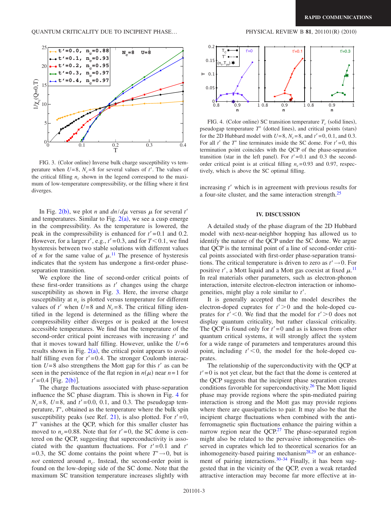<span id="page-5-0"></span>

FIG. 3. (Color online) Inverse bulk charge susceptibility vs temperature when  $U=8$ ,  $N_c=8$  for several values of *t'*. The values of the critical filling  $n_c$  shown in the legend correspond to the maximum of low-temperature compressibility, or the filling where it first diverges.

In Fig. [2](#page-4-0)(b), we plot *n* and  $dn/d\mu$  versus  $\mu$  for several *t'* and temperatures. Similar to Fig.  $2(a)$  $2(a)$ , we see a cusp emerge in the compressibility. As the temperature is lowered, the peak in the compressibility is enhanced for  $t' = 0.1$  and 0.2. However, for a larger  $t'$ , e.g.,  $t' = 0.3$ , and for  $T < 0.1$ , we find hysteresis between two stable solutions with different values of *n* for the same value of  $\mu$ .<sup>[11](#page-6-10)</sup> The presence of hysteresis indicates that the system has undergone a first-order phaseseparation transition.

We explore the line of second-order critical points of these first-order transitions as *t*' changes using the charge susceptibility as shown in Fig. [3.](#page-5-0) Here, the inverse charge susceptibility at  $n_c$  is plotted versus temperature for different values of  $t'$  when  $U=8$  and  $N_c=8$ . The critical filling identified in the legend is determined as the filling where the compressibility either diverges or is peaked at the lowest accessible temperatures. We find that the temperature of the second-order critical point increases with increasing *t*' and that it moves toward half filling. However, unlike the  $U=6$ results shown in Fig.  $2(a)$  $2(a)$ , the critical point appears to avoid half filling even for  $t' = 0.4$ . The stronger Coulomb interaction  $U=8$  also strengthens the Mott gap for this  $t'$  as can be seen in the persistence of the flat region in  $n(\mu)$  near  $n=1$  for  $t' = 0.4$  [Fig. [2](#page-4-0)(b)]. Example the most because by the most example in the control of the spectrum with the equal of the most of  $t$ . The values of  $t$ . The values of  $t$  is the spectral values of  $t'$ . The values of  $t'$ . The values of  $t'$  is

The charge fluctuations associated with phase-separation influence the SC phase diagram. This is shown in Fig. [4](#page-5-1) for  $N_c = 8$ ,  $U = 8$ , and  $t' = 0.0$ , 0.1, and 0.3. The pseudogap temperature, *T*\* , obtained as the temperature where the bulk spin susceptibility peaks (see Ref. [21](#page-6-20)), is also plotted. For  $t'=0$ , *T*\* vanishes at the QCP, which for this smaller cluster has moved to  $n_c$ =0.88. Note that for  $t' = 0$ , the SC dome is centered on the QCP, suggesting that superconductivity is associated with the quantum fluctuations. For  $t' = 0.1$  and  $t'$ = 0.3, the SC dome contains the point where  $T^* \rightarrow 0$ , but is *not* centered around  $n_c$ . Instead, the second-order point is found on the low-doping side of the SC dome. Note that the



<span id="page-5-1"></span>

FIG. 4. (Color online) SC transition temperature  $T_c$  (solid lines), pseudogap temperature *T*\* (dotted lines), and critical points (stars) for the 2D Hubbard model with  $U=8$ ,  $N_c=8$ , and  $t'=0$ , 0.1, and 0.3. For all  $t'$  the  $T^*$  line terminates inside the SC dome. For  $t' = 0$ , this termination point coincides with the QCP of the phase-separation transition (star in the left panel). For  $t' = 0.1$  and 0.3 the secondorder critical point is at critical filling  $n_c$ =0.93 and 0.97, respectively, which is above the SC optimal filling.

increasing *t*' which is in agreement with previous results for a four-site cluster, and the same interaction strength.[25](#page-6-24)

#### **IV. DISCUSSION**

A detailed study of the phase diagram of the 2D Hubbard model with next-near-neighbor hopping has allowed us to identify the nature of the QCP under the SC dome. We argue that QCP is the terminal point of a line of second-order critical points associated with first-order phase-separation transitions. The critical temperature is driven to zero as  $t' \rightarrow 0$ . For positive  $t'$ , a Mott liquid and a Mott gas coexist at fixed  $\mu$ .<sup>[11](#page-6-10)</sup> In real materials other parameters, such as electron-phonon interaction, intersite electron-electron interaction or inhomogeneities, might play a role similar to *t*'.

It is generally accepted that the model describes the electron-doped cuprates for  $t' > 0$  and the hole-doped cuprates for  $t' < 0$ . We find that the model for  $t' > 0$  does not display quantum criticality, but rather classical criticality. The QCP is found only for  $t' = 0$  and as is known from other quantum critical systems, it will strongly affect the system for a wide range of parameters and temperatures around this point, including  $t' < 0$ , the model for the hole-doped cuprates.

The relationship of the superconductivity with the QCP at  $t' = 0$  is not yet clear, but the fact that the dome is centered at the QCP suggests that the incipient phase separation creates conditions favorable for superconductivity.<sup>26</sup> The Mott liquid phase may provide regions where the spin-mediated pairing interaction is strong and the Mott gas may provide regions where there are quasiparticles to pair. It may also be that the incipient charge fluctuations when combined with the antiferromagnetic spin fluctuations enhance the pairing within a narrow region near the  $QCP<sup>27</sup>$  The phase-separated region might also be related to the pervasive inhomogeneities observed in cuprates which led to theoretical scenarios for an inhomogeneity-based pairing mechanism<sup>[28,](#page-6-27)[29](#page-6-28)</sup> or an enhance-ment of pairing interactions.<sup>30–[34](#page-6-30)</sup> Finally, it has been suggested that in the vicinity of the QCP, even a weak retarded attractive interaction may become far more effective at in-